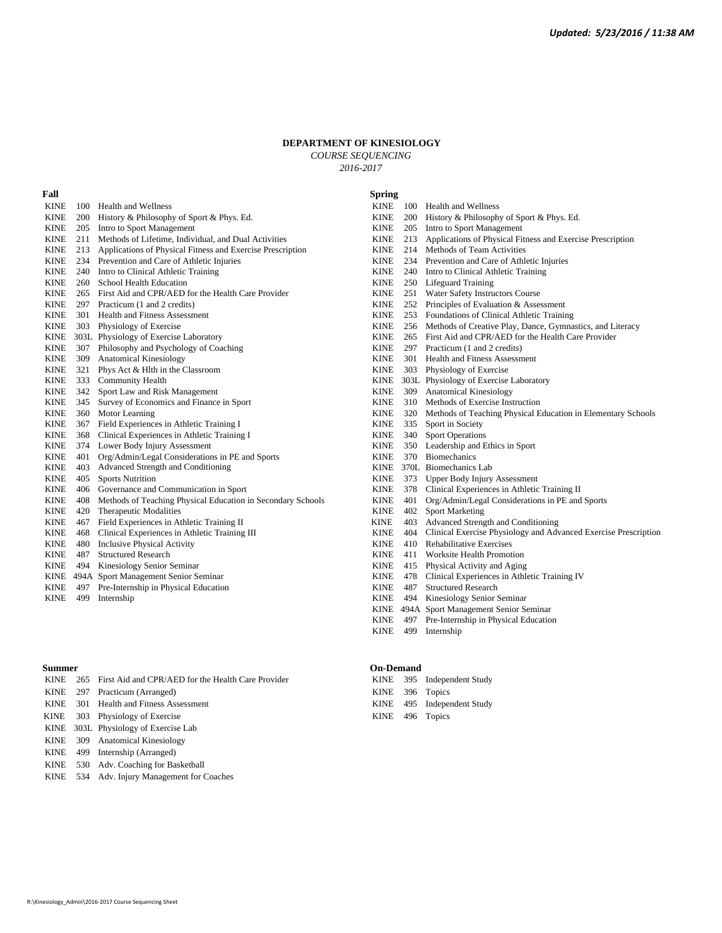## **DEPARTMENT OF KINESIOLOGY**

*COURSE SEQUENCING 2016-2017*

| Fall        |     |                                                             | <b>Spring</b> |     |                                                                 |
|-------------|-----|-------------------------------------------------------------|---------------|-----|-----------------------------------------------------------------|
| <b>KINE</b> | 100 | <b>Health and Wellness</b>                                  |               |     | KINE 100 Health and Wellness                                    |
| <b>KINE</b> | 200 | History & Philosophy of Sport & Phys. Ed.                   | <b>KINE</b>   | 200 | History & Philosophy of Sport & Phys. Ed.                       |
| <b>KINE</b> | 205 | Intro to Sport Management                                   | <b>KINE</b>   | 205 | Intro to Sport Management                                       |
| <b>KINE</b> | 211 | Methods of Lifetime, Individual, and Dual Activities        | <b>KINE</b>   | 213 | Applications of Physical Fitness and Exercise Prescription      |
| <b>KINE</b> | 213 | Applications of Physical Fitness and Exercise Prescription  | <b>KINE</b>   | 214 | Methods of Team Activities                                      |
| <b>KINE</b> | 234 | Prevention and Care of Athletic Injuries                    | <b>KINE</b>   | 234 | Prevention and Care of Athletic Injuries                        |
| <b>KINE</b> | 240 | Intro to Clinical Athletic Training                         | <b>KINE</b>   | 240 | Intro to Clinical Athletic Training                             |
| <b>KINE</b> | 260 | School Health Education                                     | <b>KINE</b>   |     | 250 Lifeguard Training                                          |
| <b>KINE</b> | 265 | First Aid and CPR/AED for the Health Care Provider          | <b>KINE</b>   | 251 | Water Safety Instructors Course                                 |
| <b>KINE</b> | 297 | Practicum (1 and 2 credits)                                 | <b>KINE</b>   | 252 | Principles of Evaluation & Assessment                           |
| <b>KINE</b> | 301 | <b>Health and Fitness Assessment</b>                        | <b>KINE</b>   |     | 253 Foundations of Clinical Athletic Training                   |
| <b>KINE</b> | 303 | Physiology of Exercise                                      | <b>KINE</b>   |     | 256 Methods of Creative Play, Dance, Gymnastics, and Literacy   |
| KINE        |     | 303L Physiology of Exercise Laboratory                      | <b>KINE</b>   |     | 265 First Aid and CPR/AED for the Health Care Provider          |
| <b>KINE</b> | 307 | Philosophy and Psychology of Coaching                       | <b>KINE</b>   | 297 | Practicum (1 and 2 credits)                                     |
| <b>KINE</b> | 309 | Anatomical Kinesiology                                      | <b>KINE</b>   | 301 | <b>Health and Fitness Assessment</b>                            |
| <b>KINE</b> | 321 | Phys Act & Hlth in the Classroom                            | <b>KINE</b>   |     | 303 Physiology of Exercise                                      |
| <b>KINE</b> | 333 | <b>Community Health</b>                                     | <b>KINE</b>   |     | 303L Physiology of Exercise Laboratory                          |
| <b>KINE</b> | 342 | Sport Law and Risk Management                               | <b>KINE</b>   |     | 309 Anatomical Kinesiology                                      |
| <b>KINE</b> | 345 | Survey of Economics and Finance in Sport                    | <b>KINE</b>   | 310 | Methods of Exercise Instruction                                 |
| <b>KINE</b> | 360 | Motor Learning                                              | <b>KINE</b>   | 320 | Methods of Teaching Physical Education in Elementary Schools    |
| <b>KINE</b> | 367 | Field Experiences in Athletic Training I                    | <b>KINE</b>   | 335 | Sport in Society                                                |
| <b>KINE</b> | 368 | Clinical Experiences in Athletic Training I                 | <b>KINE</b>   | 340 | <b>Sport Operations</b>                                         |
| <b>KINE</b> | 374 | Lower Body Injury Assessment                                | <b>KINE</b>   | 350 | Leadership and Ethics in Sport                                  |
| <b>KINE</b> | 401 | Org/Admin/Legal Considerations in PE and Sports             | <b>KINE</b>   | 370 | <b>Biomechanics</b>                                             |
| <b>KINE</b> | 403 | Advanced Strength and Conditioning                          | <b>KINE</b>   |     | 370L Biomechanics Lab                                           |
| <b>KINE</b> | 405 | <b>Sports Nutrition</b>                                     | <b>KINE</b>   | 373 | <b>Upper Body Injury Assessment</b>                             |
| <b>KINE</b> | 406 | Governance and Communication in Sport                       | <b>KINE</b>   | 378 | Clinical Experiences in Athletic Training II                    |
| <b>KINE</b> | 408 | Methods of Teaching Physical Education in Secondary Schools | <b>KINE</b>   | 401 | Org/Admin/Legal Considerations in PE and Sports                 |
| <b>KINE</b> | 420 | Therapeutic Modalities                                      | <b>KINE</b>   | 402 | <b>Sport Marketing</b>                                          |
| <b>KINE</b> | 467 | Field Experiences in Athletic Training II                   | <b>KINE</b>   | 403 | Advanced Strength and Conditioning                              |
| <b>KINE</b> | 468 | Clinical Experiences in Athletic Training III               | <b>KINE</b>   | 404 | Clinical Exercise Physiology and Advanced Exercise Prescription |
| <b>KINE</b> | 480 | <b>Inclusive Physical Activity</b>                          | <b>KINE</b>   | 410 | Rehabilitative Exercises                                        |
| <b>KINE</b> | 487 | <b>Structured Research</b>                                  | <b>KINE</b>   | 411 | Worksite Health Promotion                                       |
| <b>KINE</b> | 494 | Kinesiology Senior Seminar                                  | <b>KINE</b>   | 415 | Physical Activity and Aging                                     |
| <b>KINE</b> |     | 494A Sport Management Senior Seminar                        | <b>KINE</b>   | 478 | Clinical Experiences in Athletic Training IV                    |
| <b>KINE</b> | 497 | Pre-Internship in Physical Education                        | <b>KINE</b>   | 487 | <b>Structured Research</b>                                      |
| <b>KINE</b> | 499 | Internship                                                  | <b>KINE</b>   | 494 | Kinesiology Senior Seminar                                      |
|             |     |                                                             |               |     | KINE 494A Sport Management Senior Seminar                       |

|  | KINE 265 First Aid and CPR/AED for the Health Care Provider |  | KINE 395 Independent Study |
|--|-------------------------------------------------------------|--|----------------------------|
|  | KINE 297 Practicum (Arranged)                               |  | KINE 396 Topics            |
|  | KINE 301 Health and Fitness Assessment                      |  | KINE 495 Independent Study |
|  | KINE 303 Physiology of Exercise                             |  | KINE 496 Topics            |
|  | KINE 303L Physiology of Exercise Lab                        |  |                            |
|  | KINE 309 Anatomical Kinesiology                             |  |                            |
|  | KINE 499 Internship (Arranged)                              |  |                            |

- KINE 530 Adv. Coaching for Basketball
- KINE 534 Adv. Injury Management for Coaches

## **Summer On-Demand**

|  | KINE 395 Independent Study    |
|--|-------------------------------|
|  | KINE 396 Topics               |
|  | <b>EXIMID</b> $AOE = 1.11101$ |

KINE 499 Internship

KINE 497 Pre-Internship in Physical Education